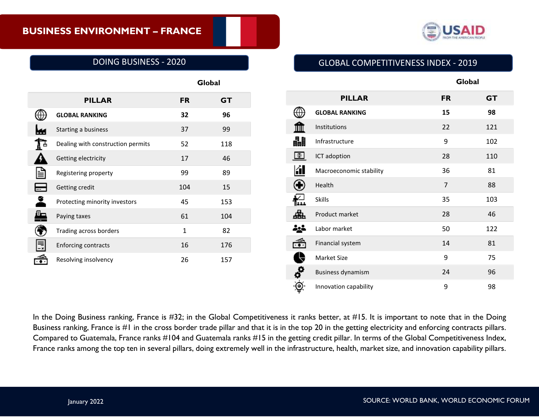

# DOING BUSINESS - 2020

|                                   |              | Global    |  |
|-----------------------------------|--------------|-----------|--|
| <b>PILLAR</b>                     | <b>FR</b>    | <b>GT</b> |  |
| <b>GLOBAL RANKING</b>             | 32           | 96        |  |
| Starting a business               | 37           | 99        |  |
| Dealing with construction permits | 52           | 118       |  |
| Getting electricity               | 17           | 46        |  |
| Registering property              | 99           | 89        |  |
| Getting credit                    | 104          | 15        |  |
| Protecting minority investors     | 45           | 153       |  |
| Paying taxes                      | 61           | 104       |  |
| Trading across borders            | $\mathbf{1}$ | 82        |  |
| <b>Enforcing contracts</b>        | 16           | 176       |  |
| Resolving insolvency              | 26           | 157       |  |

# GLOBAL COMPETITIVENESS INDEX - 2019

**Global**

|                         | <b>PILLAR</b>            | <b>FR</b>      | <b>GT</b> |
|-------------------------|--------------------------|----------------|-----------|
|                         | <b>GLOBAL RANKING</b>    | 15             | 98        |
|                         | Institutions             | 22             | 121       |
| 畾                       | Infrastructure           | 9              | 102       |
| Œг                      | ICT adoption             | 28             | 110       |
| íП                      | Macroeconomic stability  | 36             | 81        |
|                         | Health                   | $\overline{7}$ | 88        |
|                         | <b>Skills</b>            | 35             | 103       |
|                         | Product market           | 28             | 46        |
| ige                     | Labor market             | 50             | 122       |
|                         | Financial system         | 14             | 81        |
| $\blacklozenge$         | Market Size              | 9              | 75        |
| $\overline{\mathbf{e}}$ | <b>Business dynamism</b> | 24             | 96        |
|                         | Innovation capability    | 9              | 98        |

In the Doing Business ranking, France is #32; in the Global Competitiveness it ranks better, at #15. It is important to note that in the Doing Business ranking, France is #1 in the cross border trade pillar and that it is in the top 20 in the getting electricity and enforcing contracts pillars. Compared to Guatemala, France ranks #104 and Guatemala ranks #15 in the getting credit pillar. In terms of the Global Competitiveness Index, France ranks among the top ten in several pillars, doing extremely well in the infrastructure, health, market size, and innovation capability pillars.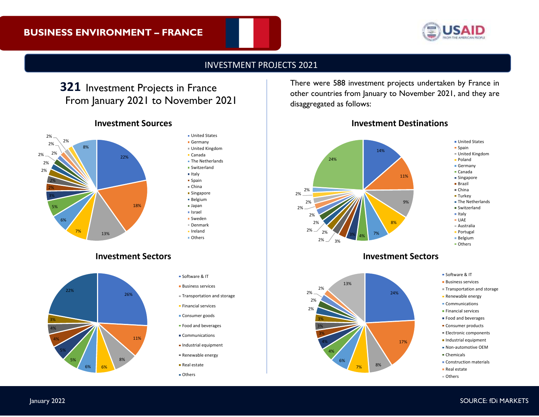

## INVESTMENT PROJECTS 2021

# **321** Investment Projects in France From January 2021 to November 2021

# **Investment Sources**



#### **Investment Sectors**



### **Italy**  $s$ Spain China **Singapore** Belgium Japan Israel Sweden Denmark Ireland Others Software & IT **Business services** Transportation and storage **Financial services Consumer goods Food and beverages Communications**

**United States** Germany United Kingdom Canada **The Netherlands** Switzerland

- **Industrial equipment**
- Renewable energy
- Real estate
- Others

There were 588 investment projects undertaken by France in other countries from January to November 2021, and they are disaggregated as follows:





#### **Investment Sectors**



Software & IT

- **Business services**
- Transportation and storage
- **Renewable energy**
- **Communications**
- **Financial services**
- Food and beverages
- **Consumer products**
- **Electronic components**
- **Industrial equipment**
- Non-automotive OEM
- Chemicals
- **Construction materials**
- Real estate
- Others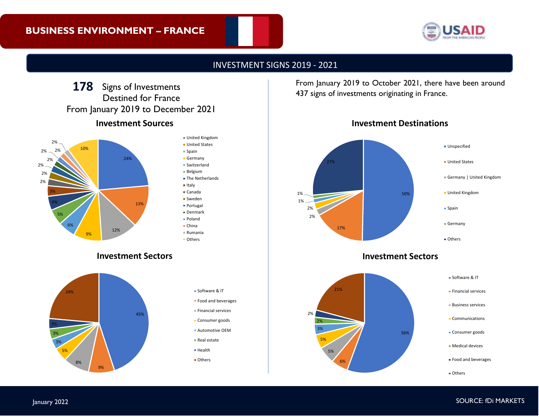

# INVESTMENT SIGNS 2019 - 2021

# **Investment Sources** 178 Signs of Investments Destined for France From January 2019 to December 2021

45%



9%

8%

5% 3% 3% 3%

24%

### United Kingdom **United States** Spain **Germany** Switzerland Belgium **The Netherlands** ■ Italy Canada ■ Sweden Portugal Denmark Poland China Rumania **Others Investment Sectors Software & IT Food and beverages**  $F$  Financial services **Consumer goods** Automotive OEM

- Real estate
- **Health**
- **Others**

**178** From January 2019 to October 2021, there have been around 437 signs of investments originating in France.





# **Investment Sectors**

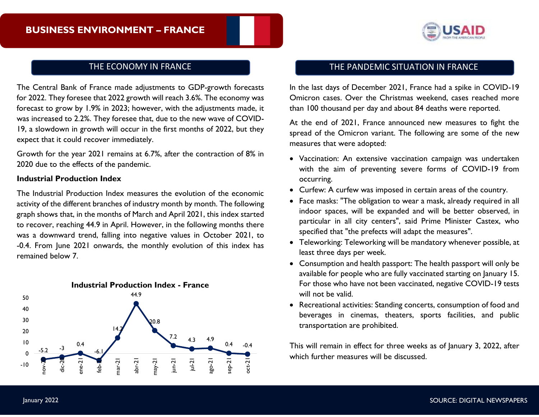

The Central Bank of France made adjustments to GDP-growth forecasts for 2022. They foresee that 2022 growth will reach 3.6%. The economy was forecast to grow by 1.9% in 2023; however, with the adjustments made, it was increased to 2.2%. They foresee that, due to the new wave of COVID-19, a slowdown in growth will occur in the first months of 2022, but they expect that it could recover immediately.

Growth for the year 2021 remains at 6.7%, after the contraction of 8% in 2020 due to the effects of the pandemic.

#### **Industrial Production Index**

The Industrial Production Index measures the evolution of the economic activity of the different branches of industry month by month. The following graph shows that, in the months of March and April 2021, this index started to recover, reaching 44.9 in April. However, in the following months there was a downward trend, falling into negative values in October 2021, to -0.4. From June 2021 onwards, the monthly evolution of this index has remained below 7.



# THE ECONOMY IN FRANCE **THE PANDEMIC SITUATION IN FRANCE**

In the last days of December 2021, France had a spike in COVID-19 Omicron cases. Over the Christmas weekend, cases reached more than 100 thousand per day and about 84 deaths were reported.

At the end of 2021, France announced new measures to fight the spread of the Omicron variant. The following are some of the new measures that were adopted:

- Vaccination: An extensive vaccination campaign was undertaken with the aim of preventing severe forms of COVID-19 from occurring.
- Curfew: A curfew was imposed in certain areas of the country.
- Face masks: "The obligation to wear a mask, already required in all indoor spaces, will be expanded and will be better observed, in particular in all city centers", said Prime Minister Castex, who specified that "the prefects will adapt the measures".
- Teleworking: Teleworking will be mandatory whenever possible, at least three days per week.
- Consumption and health passport: The health passport will only be available for people who are fully vaccinated starting on January 15. For those who have not been vaccinated, negative COVID-19 tests will not be valid.
- Recreational activities: Standing concerts, consumption of food and beverages in cinemas, theaters, sports facilities, and public transportation are prohibited.

This will remain in effect for three weeks as of January 3, 2022, after which further measures will be discussed.